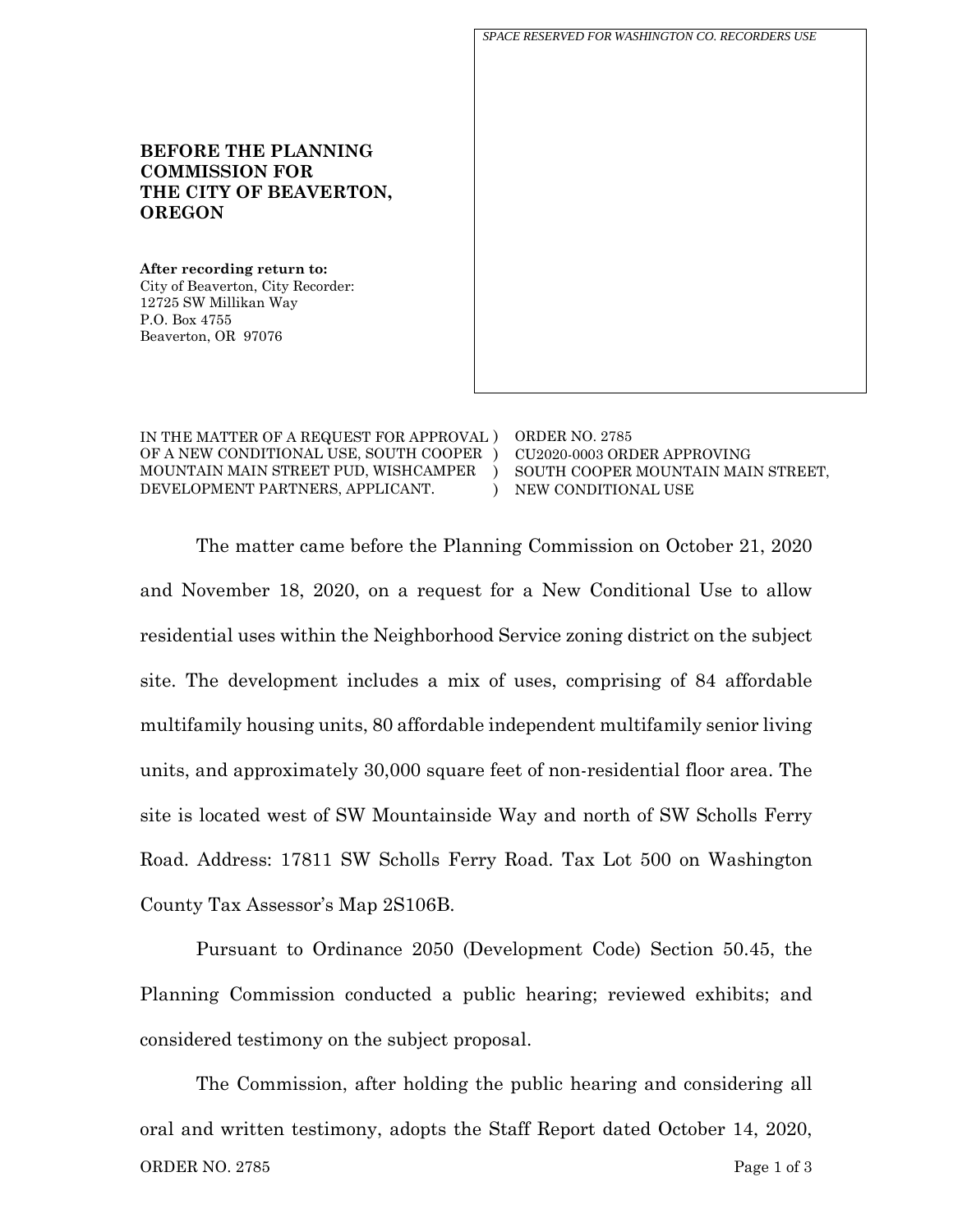*SPACE RESERVED FOR WASHINGTON CO. RECORDERS USE*

## **BEFORE THE PLANNING COMMISSION FOR THE CITY OF BEAVERTON, OREGON**

**After recording return to:** City of Beaverton, City Recorder: 12725 SW Millikan Way P.O. Box 4755 Beaverton, OR 97076

IN THE MATTER OF A REQUEST FOR APPROVAL ) OF A NEW CONDITIONAL USE, SOUTH COOPER ) MOUNTAIN MAIN STREET PUD, WISHCAMPER DEVELOPMENT PARTNERS, APPLICANT.  $\lambda$ 

ORDER NO. 2785 CU2020-0003 ORDER APPROVING SOUTH COOPER MOUNTAIN MAIN STREET, NEW CONDITIONAL USE

The matter came before the Planning Commission on October 21, 2020 and November 18, 2020, on a request for a New Conditional Use to allow residential uses within the Neighborhood Service zoning district on the subject site. The development includes a mix of uses, comprising of 84 affordable multifamily housing units, 80 affordable independent multifamily senior living units, and approximately 30,000 square feet of non-residential floor area. The site is located west of SW Mountainside Way and north of SW Scholls Ferry Road. Address: 17811 SW Scholls Ferry Road. Tax Lot 500 on Washington County Tax Assessor's Map 2S106B.

)

Pursuant to Ordinance 2050 (Development Code) Section 50.45, the Planning Commission conducted a public hearing; reviewed exhibits; and considered testimony on the subject proposal.

ORDER NO. 2785 Page 1 of 3 The Commission, after holding the public hearing and considering all oral and written testimony, adopts the Staff Report dated October 14, 2020,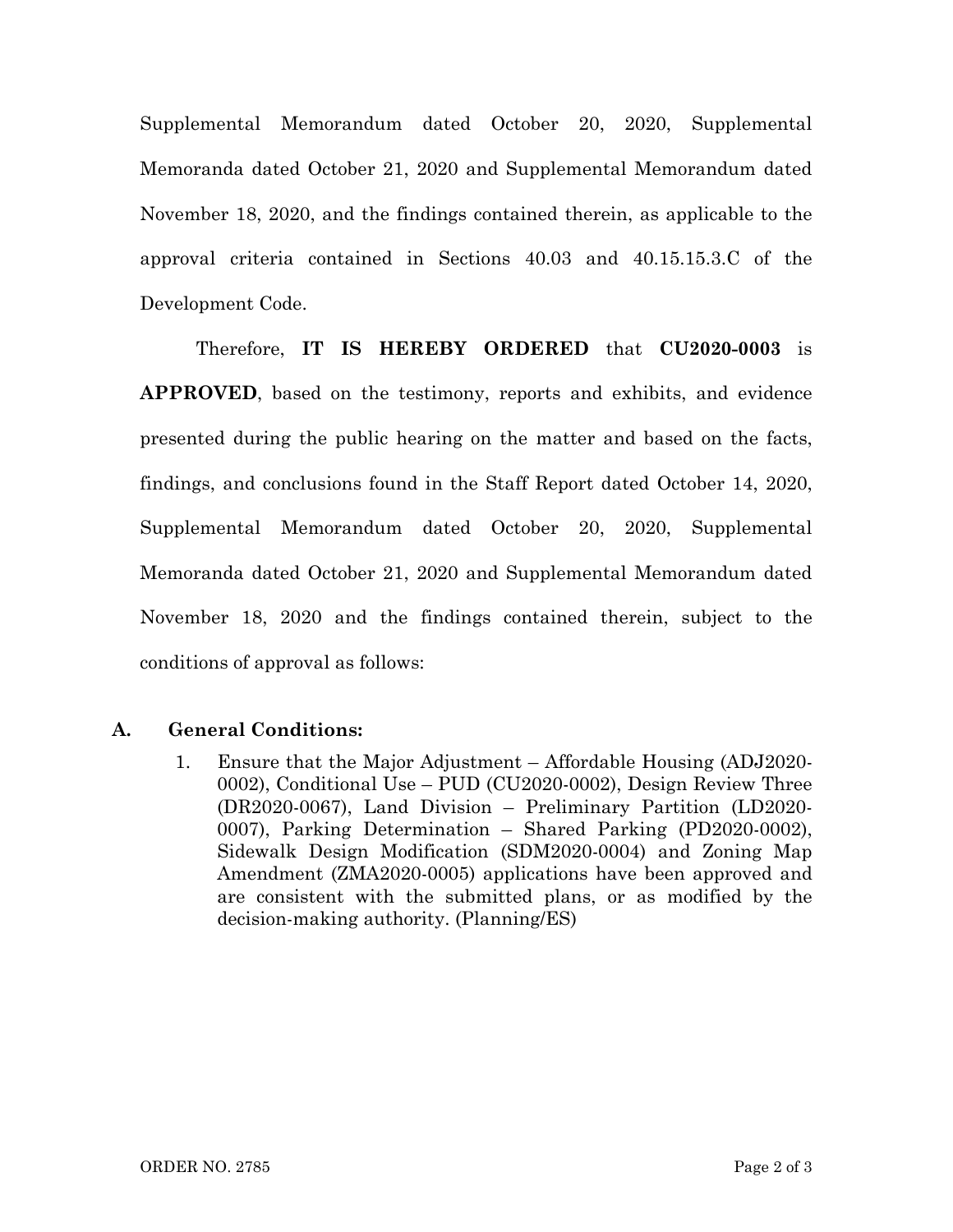Supplemental Memorandum dated October 20, 2020, Supplemental Memoranda dated October 21, 2020 and Supplemental Memorandum dated November 18, 2020, and the findings contained therein, as applicable to the approval criteria contained in Sections 40.03 and 40.15.15.3.C of the Development Code.

Therefore, **IT IS HEREBY ORDERED** that **CU2020-0003** is **APPROVED**, based on the testimony, reports and exhibits, and evidence presented during the public hearing on the matter and based on the facts, findings, and conclusions found in the Staff Report dated October 14, 2020, Supplemental Memorandum dated October 20, 2020, Supplemental Memoranda dated October 21, 2020 and Supplemental Memorandum dated November 18, 2020 and the findings contained therein, subject to the conditions of approval as follows:

## **A. General Conditions:**

1. Ensure that the Major Adjustment – Affordable Housing (ADJ2020- 0002), Conditional Use – PUD (CU2020-0002), Design Review Three (DR2020-0067), Land Division – Preliminary Partition (LD2020- 0007), Parking Determination – Shared Parking (PD2020-0002), Sidewalk Design Modification (SDM2020-0004) and Zoning Map Amendment (ZMA2020-0005) applications have been approved and are consistent with the submitted plans, or as modified by the decision-making authority. (Planning/ES)